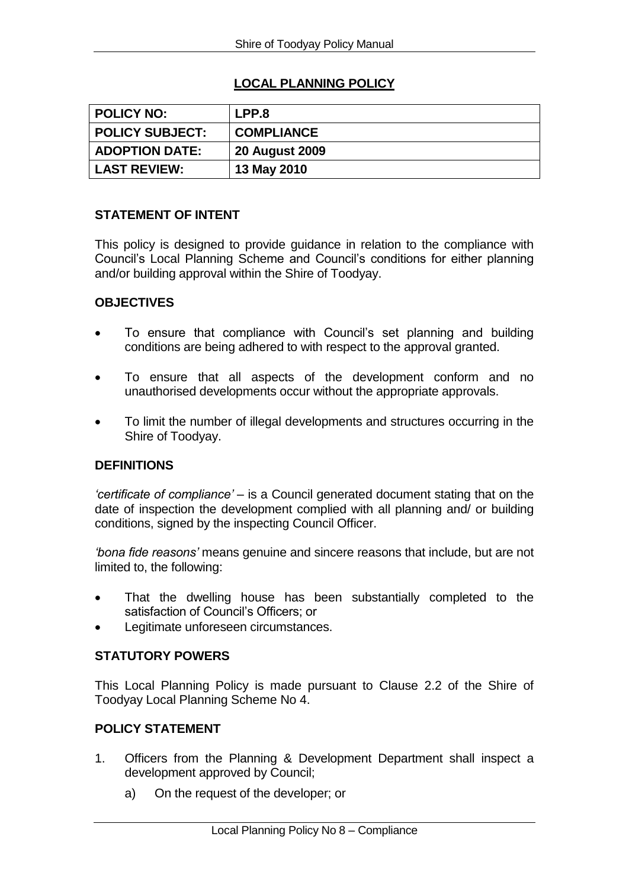# **LOCAL PLANNING POLICY**

| <b>POLICY NO:</b>      | LPP.8                 |
|------------------------|-----------------------|
| <b>POLICY SUBJECT:</b> | <b>COMPLIANCE</b>     |
| <b>ADOPTION DATE:</b>  | <b>20 August 2009</b> |
| <b>LAST REVIEW:</b>    | 13 May 2010           |

## **STATEMENT OF INTENT**

This policy is designed to provide guidance in relation to the compliance with Council's Local Planning Scheme and Council's conditions for either planning and/or building approval within the Shire of Toodyay.

## **OBJECTIVES**

- To ensure that compliance with Council's set planning and building conditions are being adhered to with respect to the approval granted.
- To ensure that all aspects of the development conform and no unauthorised developments occur without the appropriate approvals.
- To limit the number of illegal developments and structures occurring in the Shire of Toodyay.

#### **DEFINITIONS**

*'certificate of compliance'* – is a Council generated document stating that on the date of inspection the development complied with all planning and/ or building conditions, signed by the inspecting Council Officer.

*'bona fide reasons'* means genuine and sincere reasons that include, but are not limited to, the following:

- That the dwelling house has been substantially completed to the satisfaction of Council's Officers; or
- Legitimate unforeseen circumstances.

#### **STATUTORY POWERS**

This Local Planning Policy is made pursuant to Clause 2.2 of the Shire of Toodyay Local Planning Scheme No 4.

#### **POLICY STATEMENT**

- 1. Officers from the Planning & Development Department shall inspect a development approved by Council;
	- a) On the request of the developer; or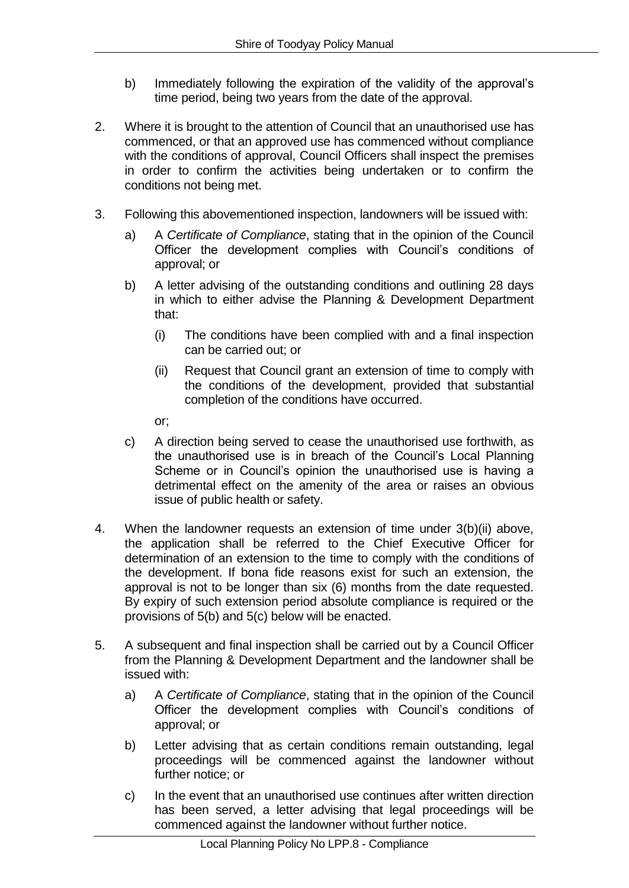- b) Immediately following the expiration of the validity of the approval's time period, being two years from the date of the approval.
- 2. Where it is brought to the attention of Council that an unauthorised use has commenced, or that an approved use has commenced without compliance with the conditions of approval, Council Officers shall inspect the premises in order to confirm the activities being undertaken or to confirm the conditions not being met.
- 3. Following this abovementioned inspection, landowners will be issued with:
	- a) A *Certificate of Compliance*, stating that in the opinion of the Council Officer the development complies with Council's conditions of approval; or
	- b) A letter advising of the outstanding conditions and outlining 28 days in which to either advise the Planning & Development Department that:
		- (i) The conditions have been complied with and a final inspection can be carried out; or
		- (ii) Request that Council grant an extension of time to comply with the conditions of the development, provided that substantial completion of the conditions have occurred.

or;

- c) A direction being served to cease the unauthorised use forthwith, as the unauthorised use is in breach of the Council's Local Planning Scheme or in Council's opinion the unauthorised use is having a detrimental effect on the amenity of the area or raises an obvious issue of public health or safety.
- 4. When the landowner requests an extension of time under 3(b)(ii) above, the application shall be referred to the Chief Executive Officer for determination of an extension to the time to comply with the conditions of the development. If bona fide reasons exist for such an extension, the approval is not to be longer than six (6) months from the date requested. By expiry of such extension period absolute compliance is required or the provisions of 5(b) and 5(c) below will be enacted.
- 5. A subsequent and final inspection shall be carried out by a Council Officer from the Planning & Development Department and the landowner shall be issued with:
	- a) A *Certificate of Compliance*, stating that in the opinion of the Council Officer the development complies with Council's conditions of approval; or
	- b) Letter advising that as certain conditions remain outstanding, legal proceedings will be commenced against the landowner without further notice; or
	- c) In the event that an unauthorised use continues after written direction has been served, a letter advising that legal proceedings will be commenced against the landowner without further notice.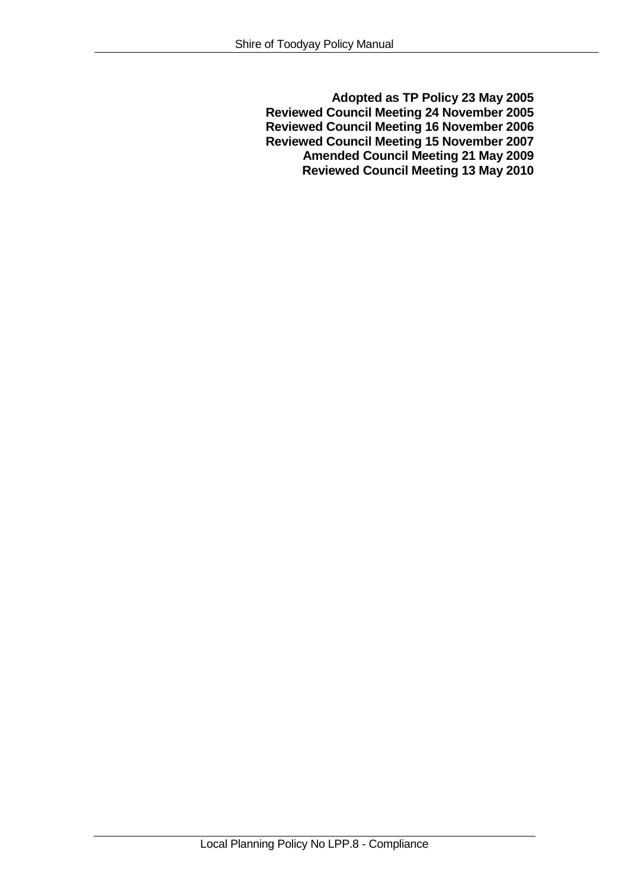**Adopted as TP Policy 23 May 2005 Reviewed Council Meeting 24 November 2005 Reviewed Council Meeting 16 November 2006 Reviewed Council Meeting 15 November 2007 Amended Council Meeting 21 May 2009 Reviewed Council Meeting 13 May 2010**